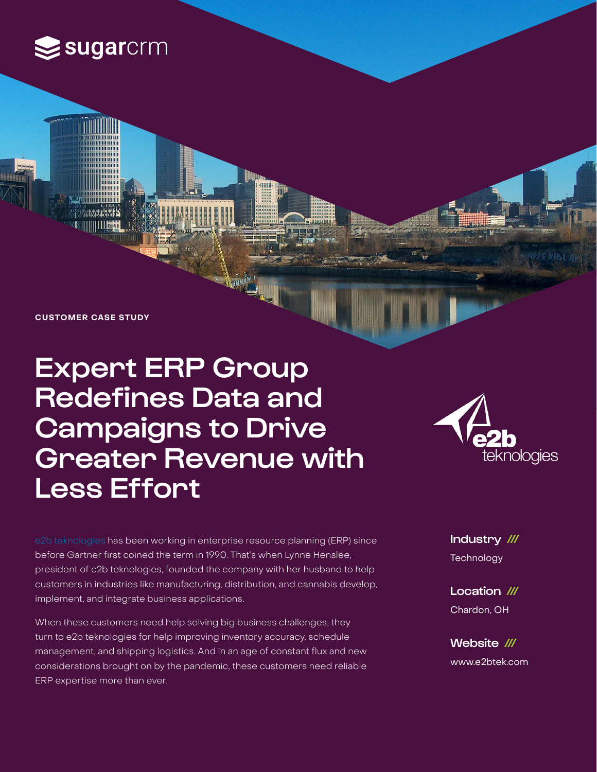

**CUSTOMER CASE STUDY**

# Expert ERP Group Redefines Data and Campaigns to Drive Greater Revenue with Less Effort



[e2b teknologies](https://e2btek.com/) has been working in enterprise resource planning (ERP) since before Gartner first coined the term in 1990. That's when Lynne Henslee, president of e2b teknologies, founded the company with her husband to help customers in industries like manufacturing, distribution, and cannabis develop, implement, and integrate business applications.

When these customers need help solving big business challenges, they turn to e2b teknologies for help improving inventory accuracy, schedule management, and shipping logistics. And in an age of constant flux and new considerations brought on by the pandemic, these customers need reliable ERP expertise more than ever.

Industry /// **Technology** 

Location /// Chardon, OH

Website /// www.e2btek.com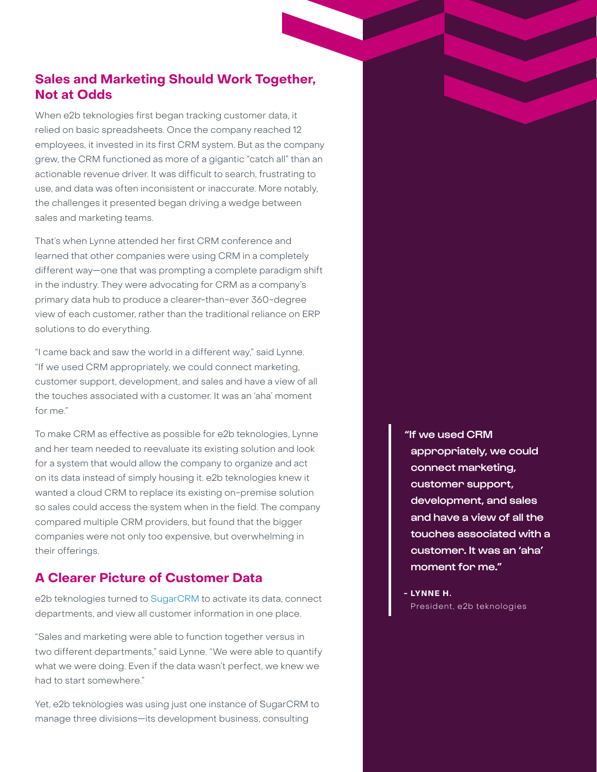## **Sales and Marketing Should Work Together, Not at Odds**

When e2b teknologies first began tracking customer data, it relied on basic spreadsheets. Once the company reached 12 employees, it invested in its first CRM system. But as the company grew, the CRM functioned as more of a gigantic "catch all" than an actionable revenue driver. It was difficult to search, frustrating to use, and data was often inconsistent or inaccurate. More notably, the challenges it presented began driving a wedge between sales and marketing teams.

That's when Lynne attended her first CRM conference and learned that other companies were using CRM in a completely different way—one that was prompting a complete paradigm shift in the industry. They were advocating for CRM as a company's primary data hub to produce a clearer-than-ever 360-degree view of each customer, rather than the traditional reliance on ERP solutions to do everything.

"I came back and saw the world in a different way," said Lynne. "If we used CRM appropriately, we could connect marketing, customer support, development, and sales and have a view of all the touches associated with a customer. It was an 'aha' moment for me"

To make CRM as effective as possible for e2b teknologies, Lynne and her team needed to reevaluate its existing solution and look for a system that would allow the company to organize and act on its data instead of simply housing it. e2b teknologies knew it wanted a cloud CRM to replace its existing on-premise solution so sales could access the system when in the field. The company compared multiple CRM providers, but found that the bigger companies were not only too expensive, but overwhelming in their offerings.

## **A Clearer Picture of Customer Data**

e2b teknologies turned to [SugarCRM](http://sugarcrm.com) to activate its data, connect departments, and view all customer information in one place.

"Sales and marketing were able to function together versus in two different departments," said Lynne. "We were able to quantify what we were doing. Even if the data wasn't perfect, we knew we had to start somewhere."

Yet, e2b teknologies was using just one instance of SugarCRM to manage three divisions—its development business, consulting

"If we used CRM appropriately, we could connect marketing, customer support, development, and sales and have a view of all the touches associated with a customer. It was an 'aha' moment for me."

**- LYNNE H.**  President, e2b teknologies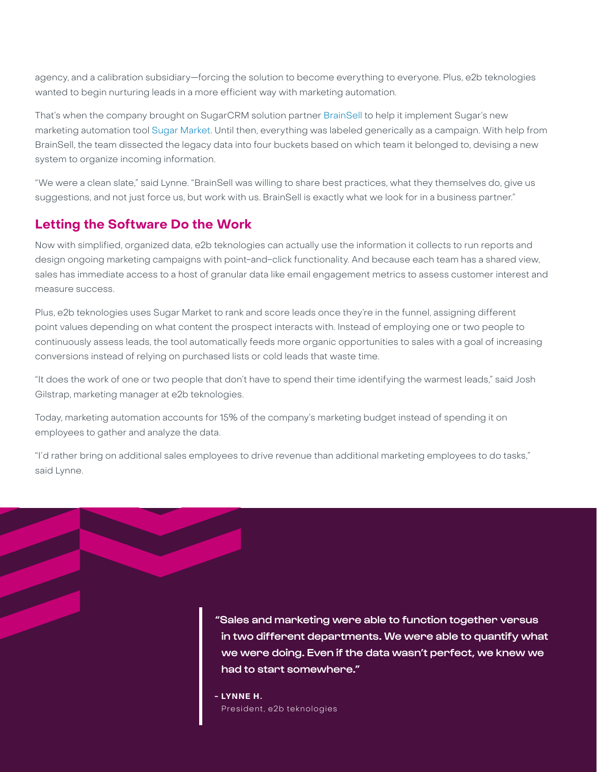agency, and a calibration subsidiary—forcing the solution to become everything to everyone. Plus, e2b teknologies wanted to begin nurturing leads in a more efficient way with marketing automation.

That's when the company brought on SugarCRM solution partner [BrainSell](https://www.brainsell.com/) to help it implement Sugar's new marketing automation tool [Sugar Market](https://www.sugarcrm.com/solutions/sugar-market/). Until then, everything was labeled generically as a campaign. With help from BrainSell, the team dissected the legacy data into four buckets based on which team it belonged to, devising a new system to organize incoming information.

"We were a clean slate," said Lynne. "BrainSell was willing to share best practices, what they themselves do, give us suggestions, and not just force us, but work with us. BrainSell is exactly what we look for in a business partner."

#### **Letting the Software Do the Work**

Now with simplified, organized data, e2b teknologies can actually use the information it collects to run reports and design ongoing marketing campaigns with point-and-click functionality. And because each team has a shared view, sales has immediate access to a host of granular data like email engagement metrics to assess customer interest and measure success.

Plus, e2b teknologies uses Sugar Market to rank and score leads once they're in the funnel, assigning different point values depending on what content the prospect interacts with. Instead of employing one or two people to continuously assess leads, the tool automatically feeds more organic opportunities to sales with a goal of increasing conversions instead of relying on purchased lists or cold leads that waste time.

"It does the work of one or two people that don't have to spend their time identifying the warmest leads," said Josh Gilstrap, marketing manager at e2b teknologies.

Today, marketing automation accounts for 15% of the company's marketing budget instead of spending it on employees to gather and analyze the data.

"I'd rather bring on additional sales employees to drive revenue than additional marketing employees to do tasks," said Lynne.

> "Sales and marketing were able to function together versus in two different departments. We were able to quantify what we were doing. Even if the data wasn't perfect, we knew we had to start somewhere."

**- LYNNE H.**  President, e2b teknologies